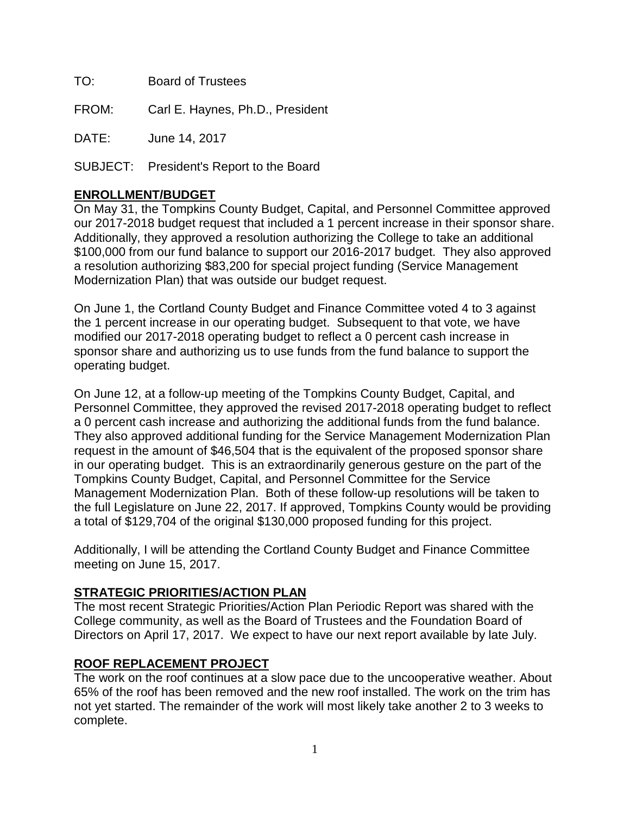TO: Board of Trustees

FROM: Carl E. Haynes, Ph.D., President

DATE: June 14, 2017

SUBJECT: President's Report to the Board

### **ENROLLMENT/BUDGET**

On May 31, the Tompkins County Budget, Capital, and Personnel Committee approved our 2017-2018 budget request that included a 1 percent increase in their sponsor share. Additionally, they approved a resolution authorizing the College to take an additional \$100,000 from our fund balance to support our 2016-2017 budget. They also approved a resolution authorizing \$83,200 for special project funding (Service Management Modernization Plan) that was outside our budget request.

On June 1, the Cortland County Budget and Finance Committee voted 4 to 3 against the 1 percent increase in our operating budget. Subsequent to that vote, we have modified our 2017-2018 operating budget to reflect a 0 percent cash increase in sponsor share and authorizing us to use funds from the fund balance to support the operating budget.

On June 12, at a follow-up meeting of the Tompkins County Budget, Capital, and Personnel Committee, they approved the revised 2017-2018 operating budget to reflect a 0 percent cash increase and authorizing the additional funds from the fund balance. They also approved additional funding for the Service Management Modernization Plan request in the amount of \$46,504 that is the equivalent of the proposed sponsor share in our operating budget. This is an extraordinarily generous gesture on the part of the Tompkins County Budget, Capital, and Personnel Committee for the Service Management Modernization Plan. Both of these follow-up resolutions will be taken to the full Legislature on June 22, 2017. If approved, Tompkins County would be providing a total of \$129,704 of the original \$130,000 proposed funding for this project.

Additionally, I will be attending the Cortland County Budget and Finance Committee meeting on June 15, 2017.

#### **STRATEGIC PRIORITIES/ACTION PLAN**

The most recent Strategic Priorities/Action Plan Periodic Report was shared with the College community, as well as the Board of Trustees and the Foundation Board of Directors on April 17, 2017. We expect to have our next report available by late July.

## **ROOF REPLACEMENT PROJECT**

The work on the roof continues at a slow pace due to the uncooperative weather. About 65% of the roof has been removed and the new roof installed. The work on the trim has not yet started. The remainder of the work will most likely take another 2 to 3 weeks to complete.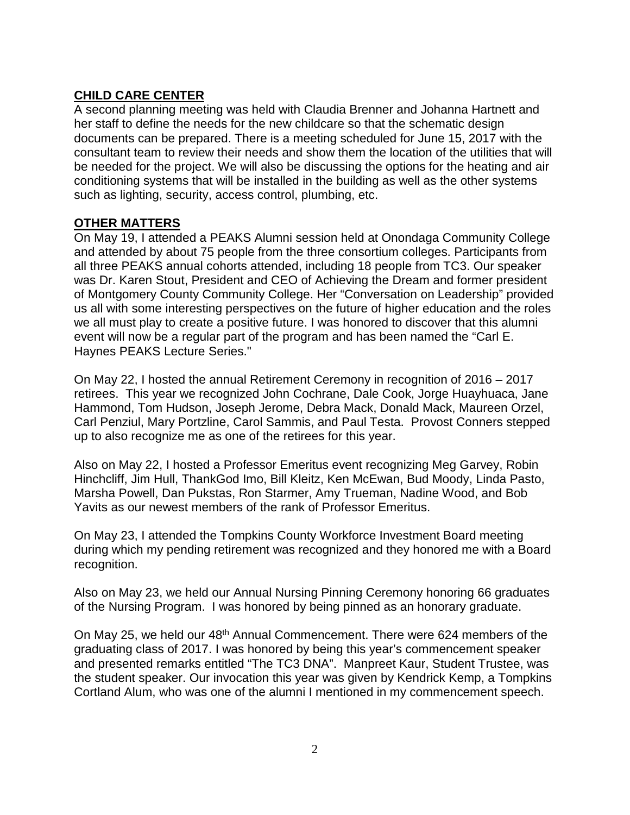# **CHILD CARE CENTER**

A second planning meeting was held with Claudia Brenner and Johanna Hartnett and her staff to define the needs for the new childcare so that the schematic design documents can be prepared. There is a meeting scheduled for June 15, 2017 with the consultant team to review their needs and show them the location of the utilities that will be needed for the project. We will also be discussing the options for the heating and air conditioning systems that will be installed in the building as well as the other systems such as lighting, security, access control, plumbing, etc.

#### **OTHER MATTERS**

On May 19, I attended a PEAKS Alumni session held at Onondaga Community College and attended by about 75 people from the three consortium colleges. Participants from all three PEAKS annual cohorts attended, including 18 people from TC3. Our speaker was Dr. Karen Stout, President and CEO of Achieving the Dream and former president of Montgomery County Community College. Her "Conversation on Leadership" provided us all with some interesting perspectives on the future of higher education and the roles we all must play to create a positive future. I was honored to discover that this alumni event will now be a regular part of the program and has been named the "Carl E. Haynes PEAKS Lecture Series."

On May 22, I hosted the annual Retirement Ceremony in recognition of 2016 – 2017 retirees. This year we recognized John Cochrane, Dale Cook, Jorge Huayhuaca, Jane Hammond, Tom Hudson, Joseph Jerome, Debra Mack, Donald Mack, Maureen Orzel, Carl Penziul, Mary Portzline, Carol Sammis, and Paul Testa. Provost Conners stepped up to also recognize me as one of the retirees for this year.

Also on May 22, I hosted a Professor Emeritus event recognizing Meg Garvey, Robin Hinchcliff, Jim Hull, ThankGod Imo, Bill Kleitz, Ken McEwan, Bud Moody, Linda Pasto, Marsha Powell, Dan Pukstas, Ron Starmer, Amy Trueman, Nadine Wood, and Bob Yavits as our newest members of the rank of Professor Emeritus.

On May 23, I attended the Tompkins County Workforce Investment Board meeting during which my pending retirement was recognized and they honored me with a Board recognition.

Also on May 23, we held our Annual Nursing Pinning Ceremony honoring 66 graduates of the Nursing Program. I was honored by being pinned as an honorary graduate.

On May 25, we held our 48th Annual Commencement. There were 624 members of the graduating class of 2017. I was honored by being this year's commencement speaker and presented remarks entitled "The TC3 DNA". Manpreet Kaur, Student Trustee, was the student speaker. Our invocation this year was given by Kendrick Kemp, a Tompkins Cortland Alum, who was one of the alumni I mentioned in my commencement speech.